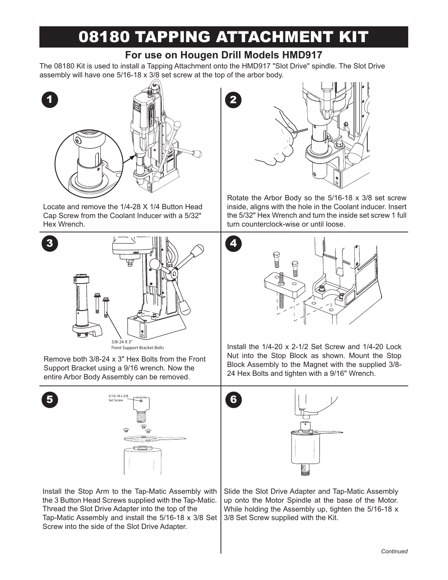# 08180 TAPPING ATTACHMENT KIT

## **For use on Hougen Drill Models HMD917**

The 08180 Kit is used to install a Tapping Attachment onto the HMD917 "Slot Drive" spindle. The Slot Drive assembly will have one 5/16-18 x 3/8 set screw at the top of the arbor body.



Locate and remove the 1/4-28 X 1/4 Button Head Cap Screw from the Coolant Inducer with a 5/32" Hex Wrench.



Front Support Bracket Bolts

Remove both 3/8-24 x 3" Hex Bolts from the Front Support Bracket using a 9/16 wrench. Now the entire Arbor Body Assembly can be removed.





Install the Stop Arm to the Tap-Matic Assembly with the 3 Button Head Screws supplied with the Tap-Matic. Thread the Slot Drive Adapter into the top of the Tap-Matic Assembly and install the 5/16-18 x 3/8 Set Screw into the side of the Slot Drive Adapter.



Rotate the Arbor Body so the 5/16-18 x 3/8 set screw inside, aligns with the hole in the Coolant inducer. Insert the 5/32" Hex Wrench and turn the inside set screw 1 full turn counterclock-wise or until loose.



Install the 1/4-20 x 2-1/2 Set Screw and 1/4-20 Lock Nut into the Stop Block as shown. Mount the Stop Block Assembly to the Magnet with the supplied 3/8- 24 Hex Bolts and tighten with a 9/16" Wrench.



Slide the Slot Drive Adapter and Tap-Matic Assembly up onto the Motor Spindle at the base of the Motor. While holding the Assembly up, tighten the 5/16-18 x 3/8 Set Screw supplied with the Kit.